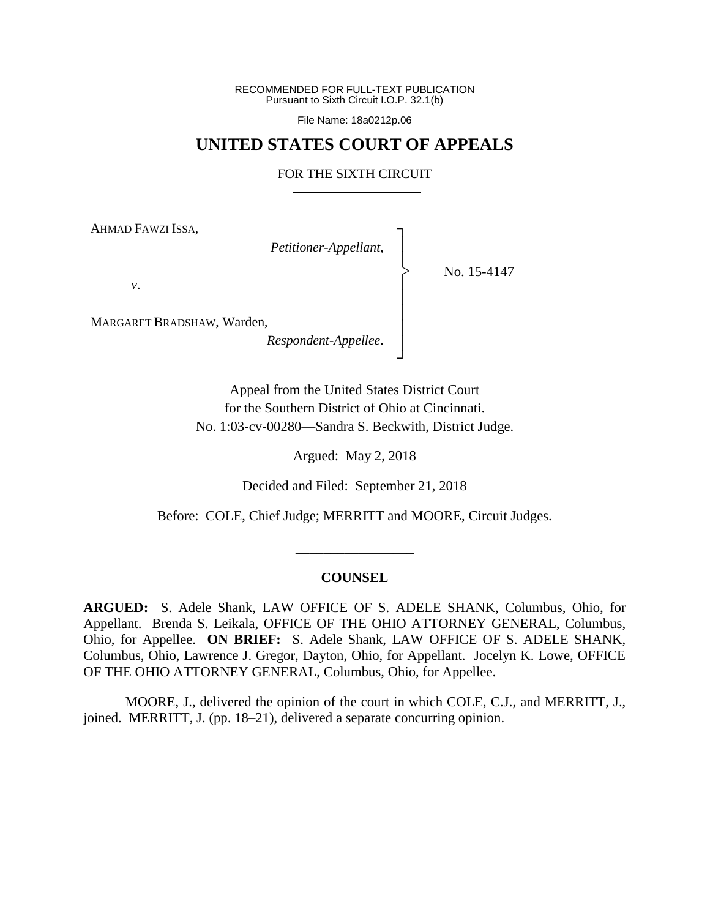RECOMMENDED FOR FULL-TEXT PUBLICATION Pursuant to Sixth Circuit I.O.P. 32.1(b)

File Name: 18a0212p.06

# **UNITED STATES COURT OF APPEALS**

#### FOR THE SIXTH CIRCUIT

┐ │ │ │ │ │ │ │ ┘

|<br>|<br>|

AHMAD FAWZI ISSA,

*Petitioner-Appellant*,

No. 15-4147

*v*.

MARGARET BRADSHAW, Warden,

*Respondent-Appellee*.

Appeal from the United States District Court for the Southern District of Ohio at Cincinnati. No. 1:03-cv-00280—Sandra S. Beckwith, District Judge.

Argued: May 2, 2018

Decided and Filed: September 21, 2018

Before: COLE, Chief Judge; MERRITT and MOORE, Circuit Judges.

\_\_\_\_\_\_\_\_\_\_\_\_\_\_\_\_\_

#### **COUNSEL**

**ARGUED:** S. Adele Shank, LAW OFFICE OF S. ADELE SHANK, Columbus, Ohio, for Appellant. Brenda S. Leikala, OFFICE OF THE OHIO ATTORNEY GENERAL, Columbus, Ohio, for Appellee. **ON BRIEF:** S. Adele Shank, LAW OFFICE OF S. ADELE SHANK, Columbus, Ohio, Lawrence J. Gregor, Dayton, Ohio, for Appellant. Jocelyn K. Lowe, OFFICE OF THE OHIO ATTORNEY GENERAL, Columbus, Ohio, for Appellee.

MOORE, J., delivered the opinion of the court in which COLE, C.J., and MERRITT, J., joined. MERRITT, J. (pp. 18–21), delivered a separate concurring opinion.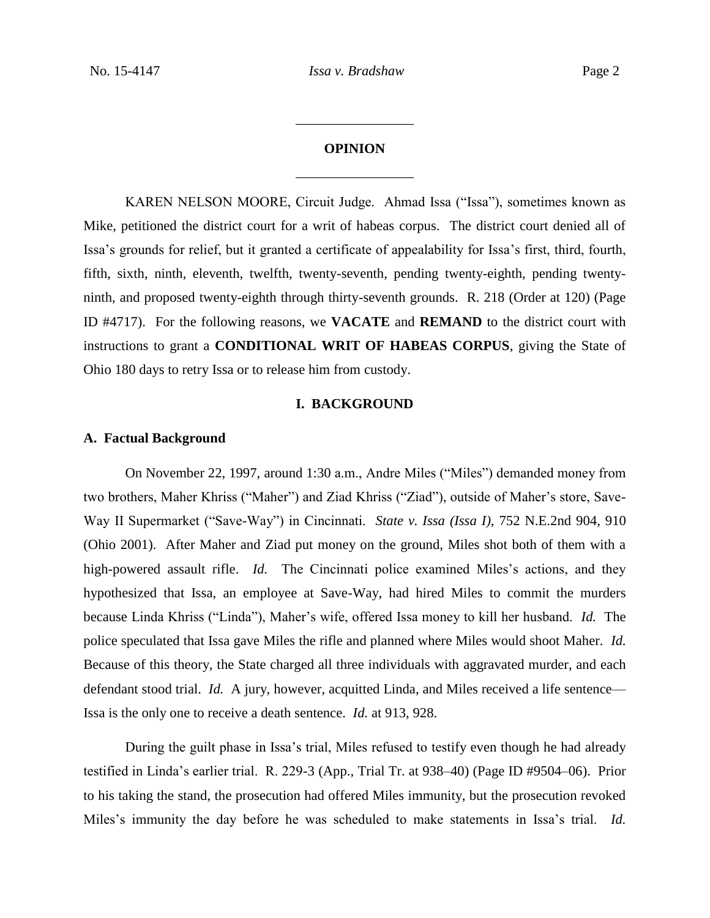# **OPINION** \_\_\_\_\_\_\_\_\_\_\_\_\_\_\_\_\_

\_\_\_\_\_\_\_\_\_\_\_\_\_\_\_\_\_

KAREN NELSON MOORE, Circuit Judge. Ahmad Issa ("Issa"), sometimes known as Mike, petitioned the district court for a writ of habeas corpus. The district court denied all of Issa's grounds for relief, but it granted a certificate of appealability for Issa's first, third, fourth, fifth, sixth, ninth, eleventh, twelfth, twenty-seventh, pending twenty-eighth, pending twentyninth, and proposed twenty-eighth through thirty-seventh grounds. R. 218 (Order at 120) (Page ID #4717). For the following reasons, we **VACATE** and **REMAND** to the district court with instructions to grant a **CONDITIONAL WRIT OF HABEAS CORPUS**, giving the State of Ohio 180 days to retry Issa or to release him from custody.

## **I. BACKGROUND**

#### **A. Factual Background**

On November 22, 1997, around 1:30 a.m., Andre Miles ("Miles") demanded money from two brothers, Maher Khriss ("Maher") and Ziad Khriss ("Ziad"), outside of Maher's store, Save-Way II Supermarket ("Save-Way") in Cincinnati. *State v. Issa (Issa I)*, 752 N.E.2nd 904, 910 (Ohio 2001). After Maher and Ziad put money on the ground, Miles shot both of them with a high-powered assault rifle. *Id.* The Cincinnati police examined Miles's actions, and they hypothesized that Issa, an employee at Save-Way, had hired Miles to commit the murders because Linda Khriss ("Linda"), Maher's wife, offered Issa money to kill her husband. *Id.* The police speculated that Issa gave Miles the rifle and planned where Miles would shoot Maher. *Id.*  Because of this theory, the State charged all three individuals with aggravated murder, and each defendant stood trial. *Id.* A jury, however, acquitted Linda, and Miles received a life sentence— Issa is the only one to receive a death sentence. *Id.* at 913, 928.

During the guilt phase in Issa's trial, Miles refused to testify even though he had already testified in Linda's earlier trial. R. 229-3 (App., Trial Tr. at 938–40) (Page ID #9504–06). Prior to his taking the stand, the prosecution had offered Miles immunity, but the prosecution revoked Miles's immunity the day before he was scheduled to make statements in Issa's trial. *Id.*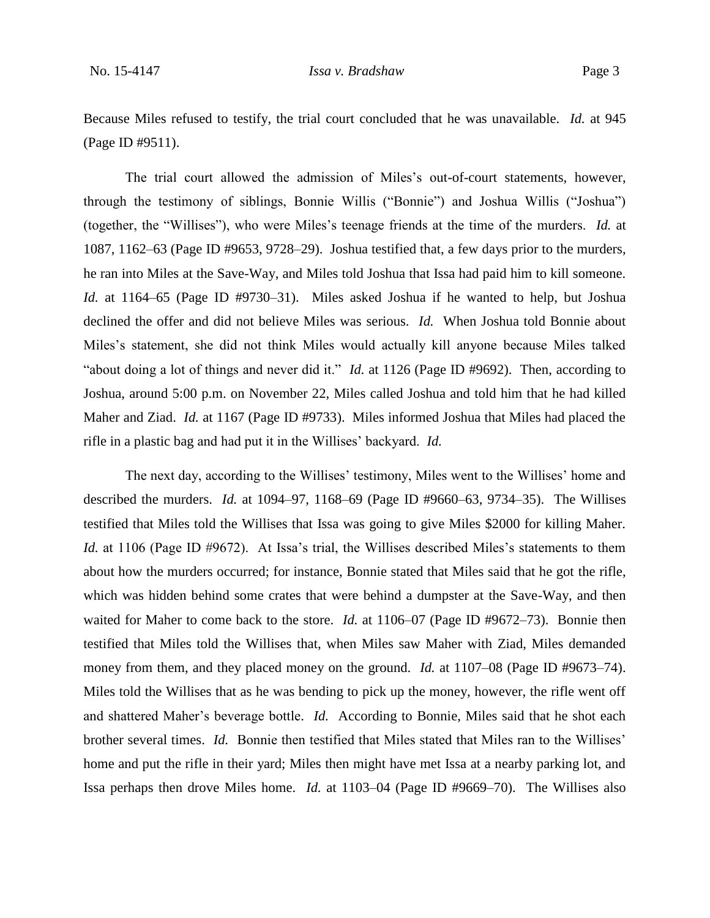Because Miles refused to testify, the trial court concluded that he was unavailable. *Id.* at 945 (Page ID #9511).

The trial court allowed the admission of Miles's out-of-court statements, however, through the testimony of siblings, Bonnie Willis ("Bonnie") and Joshua Willis ("Joshua") (together, the "Willises"), who were Miles's teenage friends at the time of the murders. *Id.* at 1087, 1162–63 (Page ID #9653, 9728–29). Joshua testified that, a few days prior to the murders, he ran into Miles at the Save-Way, and Miles told Joshua that Issa had paid him to kill someone. *Id.* at 1164–65 (Page ID #9730–31). Miles asked Joshua if he wanted to help, but Joshua declined the offer and did not believe Miles was serious. *Id.* When Joshua told Bonnie about Miles's statement, she did not think Miles would actually kill anyone because Miles talked "about doing a lot of things and never did it." *Id.* at 1126 (Page ID #9692). Then, according to Joshua, around 5:00 p.m. on November 22, Miles called Joshua and told him that he had killed Maher and Ziad. *Id.* at 1167 (Page ID #9733). Miles informed Joshua that Miles had placed the rifle in a plastic bag and had put it in the Willises' backyard. *Id.*

The next day, according to the Willises' testimony, Miles went to the Willises' home and described the murders. *Id.* at 1094–97, 1168–69 (Page ID #9660–63, 9734–35). The Willises testified that Miles told the Willises that Issa was going to give Miles \$2000 for killing Maher. *Id.* at 1106 (Page ID #9672). At Issa's trial, the Willises described Miles's statements to them about how the murders occurred; for instance, Bonnie stated that Miles said that he got the rifle, which was hidden behind some crates that were behind a dumpster at the Save-Way, and then waited for Maher to come back to the store. *Id.* at 1106–07 (Page ID #9672–73). Bonnie then testified that Miles told the Willises that, when Miles saw Maher with Ziad, Miles demanded money from them, and they placed money on the ground. *Id.* at 1107–08 (Page ID #9673–74). Miles told the Willises that as he was bending to pick up the money, however, the rifle went off and shattered Maher's beverage bottle. *Id.* According to Bonnie, Miles said that he shot each brother several times. *Id.* Bonnie then testified that Miles stated that Miles ran to the Willises' home and put the rifle in their yard; Miles then might have met Issa at a nearby parking lot, and Issa perhaps then drove Miles home. *Id.* at 1103–04 (Page ID #9669–70). The Willises also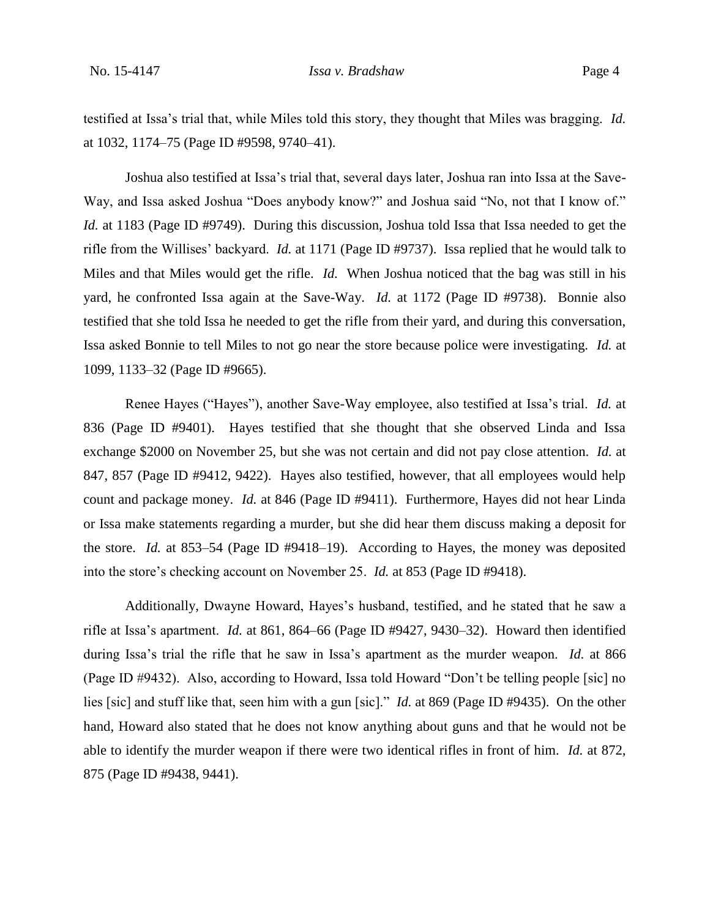testified at Issa's trial that, while Miles told this story, they thought that Miles was bragging. *Id.*  at 1032, 1174–75 (Page ID #9598, 9740–41).

Joshua also testified at Issa's trial that, several days later, Joshua ran into Issa at the Save-Way, and Issa asked Joshua "Does anybody know?" and Joshua said "No, not that I know of." *Id.* at 1183 (Page ID #9749).During this discussion, Joshua told Issa that Issa needed to get the rifle from the Willises' backyard. *Id.* at 1171 (Page ID #9737). Issa replied that he would talk to Miles and that Miles would get the rifle. *Id.* When Joshua noticed that the bag was still in his yard, he confronted Issa again at the Save-Way. *Id.* at 1172 (Page ID #9738). Bonnie also testified that she told Issa he needed to get the rifle from their yard, and during this conversation, Issa asked Bonnie to tell Miles to not go near the store because police were investigating. *Id.* at 1099, 1133–32 (Page ID #9665).

Renee Hayes ("Hayes"), another Save-Way employee, also testified at Issa's trial. *Id.* at 836 (Page ID #9401). Hayes testified that she thought that she observed Linda and Issa exchange \$2000 on November 25, but she was not certain and did not pay close attention. *Id.* at 847, 857 (Page ID #9412, 9422). Hayes also testified, however, that all employees would help count and package money. *Id.* at 846 (Page ID #9411). Furthermore, Hayes did not hear Linda or Issa make statements regarding a murder, but she did hear them discuss making a deposit for the store. *Id.* at 853–54 (Page ID #9418–19). According to Hayes, the money was deposited into the store's checking account on November 25. *Id.* at 853 (Page ID #9418).

Additionally, Dwayne Howard, Hayes's husband, testified, and he stated that he saw a rifle at Issa's apartment. *Id.* at 861, 864–66 (Page ID #9427, 9430–32). Howard then identified during Issa's trial the rifle that he saw in Issa's apartment as the murder weapon. *Id.* at 866 (Page ID #9432). Also, according to Howard, Issa told Howard "Don't be telling people [sic] no lies [sic] and stuff like that, seen him with a gun [sic]." *Id.* at 869 (Page ID #9435). On the other hand, Howard also stated that he does not know anything about guns and that he would not be able to identify the murder weapon if there were two identical rifles in front of him. *Id.* at 872, 875 (Page ID #9438, 9441).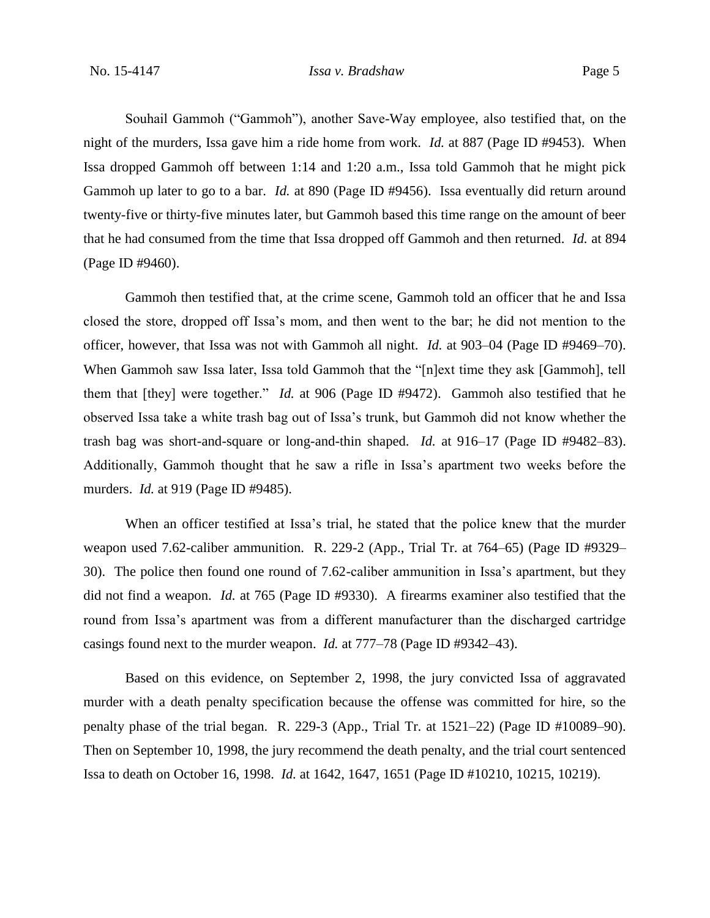Souhail Gammoh ("Gammoh"), another Save-Way employee, also testified that, on the night of the murders, Issa gave him a ride home from work. *Id.* at 887 (Page ID #9453). When Issa dropped Gammoh off between 1:14 and 1:20 a.m., Issa told Gammoh that he might pick Gammoh up later to go to a bar. *Id.* at 890 (Page ID #9456). Issa eventually did return around twenty-five or thirty-five minutes later, but Gammoh based this time range on the amount of beer that he had consumed from the time that Issa dropped off Gammoh and then returned. *Id.* at 894 (Page ID #9460).

Gammoh then testified that, at the crime scene, Gammoh told an officer that he and Issa closed the store, dropped off Issa's mom, and then went to the bar; he did not mention to the officer, however, that Issa was not with Gammoh all night. *Id.* at 903–04 (Page ID #9469–70). When Gammoh saw Issa later, Issa told Gammoh that the "[n]ext time they ask [Gammoh], tell them that [they] were together." *Id.* at 906 (Page ID #9472). Gammoh also testified that he observed Issa take a white trash bag out of Issa's trunk, but Gammoh did not know whether the trash bag was short-and-square or long-and-thin shaped. *Id.* at 916–17 (Page ID #9482–83). Additionally, Gammoh thought that he saw a rifle in Issa's apartment two weeks before the murders. *Id.* at 919 (Page ID #9485).

When an officer testified at Issa's trial, he stated that the police knew that the murder weapon used 7.62-caliber ammunition. R. 229-2 (App., Trial Tr. at 764–65) (Page ID #9329– 30). The police then found one round of 7.62-caliber ammunition in Issa's apartment, but they did not find a weapon. *Id.* at 765 (Page ID #9330). A firearms examiner also testified that the round from Issa's apartment was from a different manufacturer than the discharged cartridge casings found next to the murder weapon. *Id.* at 777–78 (Page ID #9342–43).

Based on this evidence, on September 2, 1998, the jury convicted Issa of aggravated murder with a death penalty specification because the offense was committed for hire, so the penalty phase of the trial began. R. 229-3 (App., Trial Tr. at 1521–22) (Page ID #10089–90). Then on September 10, 1998, the jury recommend the death penalty, and the trial court sentenced Issa to death on October 16, 1998. *Id.* at 1642, 1647, 1651 (Page ID #10210, 10215, 10219).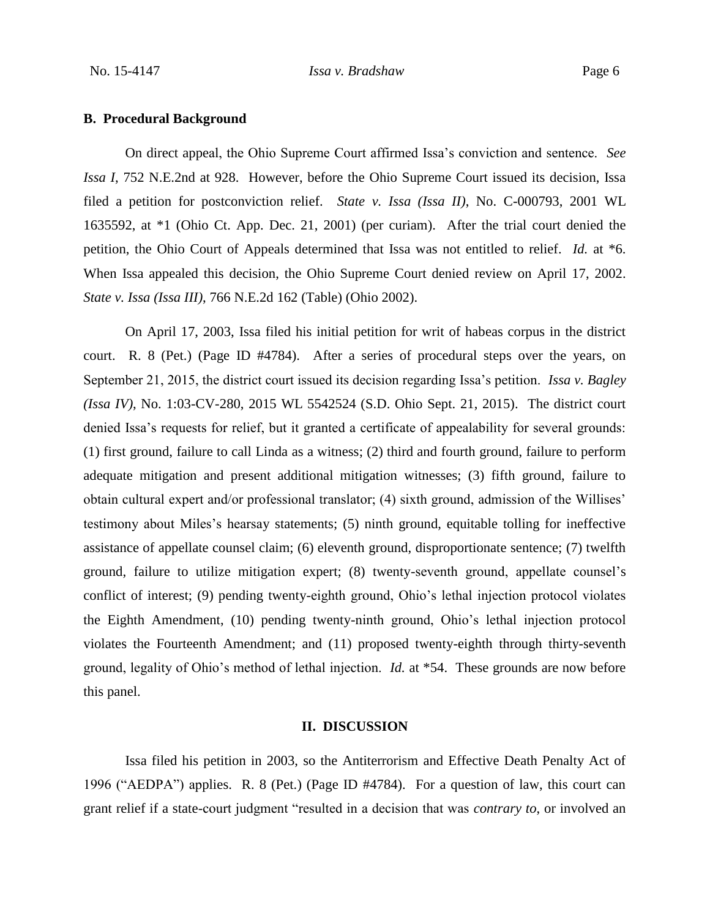## **B. Procedural Background**

On direct appeal, the Ohio Supreme Court affirmed Issa's conviction and sentence. *See Issa I*, 752 N.E.2nd at 928. However, before the Ohio Supreme Court issued its decision, Issa filed a petition for postconviction relief. *State v. Issa (Issa II)*, No. C-000793, 2001 WL 1635592, at \*1 (Ohio Ct. App. Dec. 21, 2001) (per curiam). After the trial court denied the petition, the Ohio Court of Appeals determined that Issa was not entitled to relief. *Id.* at \*6. When Issa appealed this decision, the Ohio Supreme Court denied review on April 17, 2002. *State v. Issa (Issa III)*, 766 N.E.2d 162 (Table) (Ohio 2002).

On April 17, 2003, Issa filed his initial petition for writ of habeas corpus in the district court. R. 8 (Pet.) (Page ID #4784). After a series of procedural steps over the years, on September 21, 2015, the district court issued its decision regarding Issa's petition. *Issa v. Bagley (Issa IV)*, No. 1:03-CV-280, 2015 WL 5542524 (S.D. Ohio Sept. 21, 2015). The district court denied Issa's requests for relief, but it granted a certificate of appealability for several grounds: (1) first ground, failure to call Linda as a witness; (2) third and fourth ground, failure to perform adequate mitigation and present additional mitigation witnesses; (3) fifth ground, failure to obtain cultural expert and/or professional translator; (4) sixth ground, admission of the Willises' testimony about Miles's hearsay statements; (5) ninth ground, equitable tolling for ineffective assistance of appellate counsel claim; (6) eleventh ground, disproportionate sentence; (7) twelfth ground, failure to utilize mitigation expert; (8) twenty-seventh ground, appellate counsel's conflict of interest; (9) pending twenty-eighth ground, Ohio's lethal injection protocol violates the Eighth Amendment, (10) pending twenty-ninth ground, Ohio's lethal injection protocol violates the Fourteenth Amendment; and (11) proposed twenty-eighth through thirty-seventh ground, legality of Ohio's method of lethal injection. *Id.* at \*54. These grounds are now before this panel.

## **II. DISCUSSION**

Issa filed his petition in 2003, so the Antiterrorism and Effective Death Penalty Act of 1996 ("AEDPA") applies. R. 8 (Pet.) (Page ID #4784). For a question of law, this court can grant relief if a state-court judgment "resulted in a decision that was *contrary to*, or involved an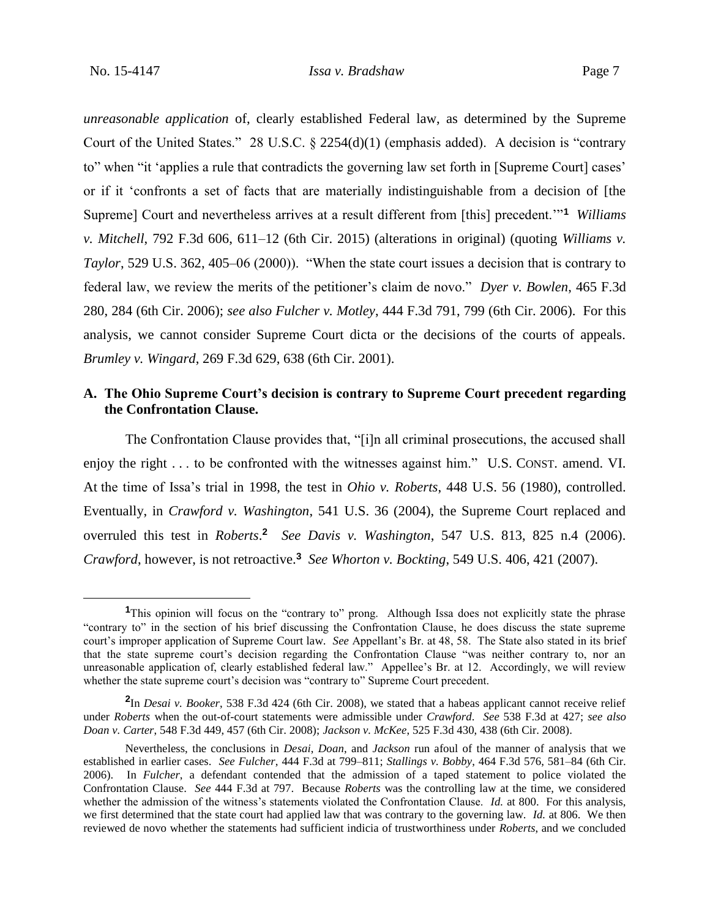$\overline{a}$ 

*unreasonable application* of, clearly established Federal law, as determined by the Supreme Court of the United States." 28 U.S.C. § 2254(d)(1) (emphasis added). A decision is "contrary to" when "it 'applies a rule that contradicts the governing law set forth in [Supreme Court] cases' or if it 'confronts a set of facts that are materially indistinguishable from a decision of [the Supreme] Court and nevertheless arrives at a result different from [this] precedent.'"**<sup>1</sup>** *Williams v. Mitchell*, 792 F.3d 606, 611–12 (6th Cir. 2015) (alterations in original) (quoting *Williams v. Taylor*, 529 U.S. 362, 405–06 (2000)). "When the state court issues a decision that is contrary to federal law, we review the merits of the petitioner's claim de novo." *Dyer v. Bowlen*, 465 F.3d 280, 284 (6th Cir. 2006); *see also Fulcher v. Motley*, 444 F.3d 791, 799 (6th Cir. 2006). For this analysis, we cannot consider Supreme Court dicta or the decisions of the courts of appeals. *Brumley v. Wingard*, 269 F.3d 629, 638 (6th Cir. 2001).

## **A. The Ohio Supreme Court's decision is contrary to Supreme Court precedent regarding the Confrontation Clause.**

The Confrontation Clause provides that, "[i]n all criminal prosecutions, the accused shall enjoy the right . . . to be confronted with the witnesses against him." U.S. CONST. amend. VI. At the time of Issa's trial in 1998, the test in *Ohio v. Roberts*, 448 U.S. 56 (1980), controlled. Eventually, in *Crawford v. Washington*, 541 U.S. 36 (2004), the Supreme Court replaced and overruled this test in *Roberts*.<sup>2</sup> See Davis v. Washington, 547 U.S. 813, 825 n.4 (2006). *Crawford*, however, is not retroactive.**<sup>3</sup>** *See Whorton v. Bockting*, 549 U.S. 406, 421 (2007).

<sup>&</sup>lt;sup>1</sup>This opinion will focus on the "contrary to" prong. Although Issa does not explicitly state the phrase "contrary to" in the section of his brief discussing the Confrontation Clause, he does discuss the state supreme court's improper application of Supreme Court law. *See* Appellant's Br. at 48, 58. The State also stated in its brief that the state supreme court's decision regarding the Confrontation Clause "was neither contrary to, nor an unreasonable application of, clearly established federal law." Appellee's Br. at 12. Accordingly, we will review whether the state supreme court's decision was "contrary to" Supreme Court precedent.

**<sup>2</sup>** In *Desai v. Booker*, 538 F.3d 424 (6th Cir. 2008), we stated that a habeas applicant cannot receive relief under *Roberts* when the out-of-court statements were admissible under *Crawford*. *See* 538 F.3d at 427; *see also Doan v. Carter*, 548 F.3d 449, 457 (6th Cir. 2008); *Jackson v. McKee*, 525 F.3d 430, 438 (6th Cir. 2008).

Nevertheless, the conclusions in *Desai*, *Doan*, and *Jackson* run afoul of the manner of analysis that we established in earlier cases. *See Fulcher*, 444 F.3d at 799–811; *Stallings v. Bobby*, 464 F.3d 576, 581–84 (6th Cir. 2006). In *Fulcher*, a defendant contended that the admission of a taped statement to police violated the Confrontation Clause. *See* 444 F.3d at 797. Because *Roberts* was the controlling law at the time, we considered whether the admission of the witness's statements violated the Confrontation Clause. *Id.* at 800. For this analysis, we first determined that the state court had applied law that was contrary to the governing law. *Id.* at 806. We then reviewed de novo whether the statements had sufficient indicia of trustworthiness under *Roberts*, and we concluded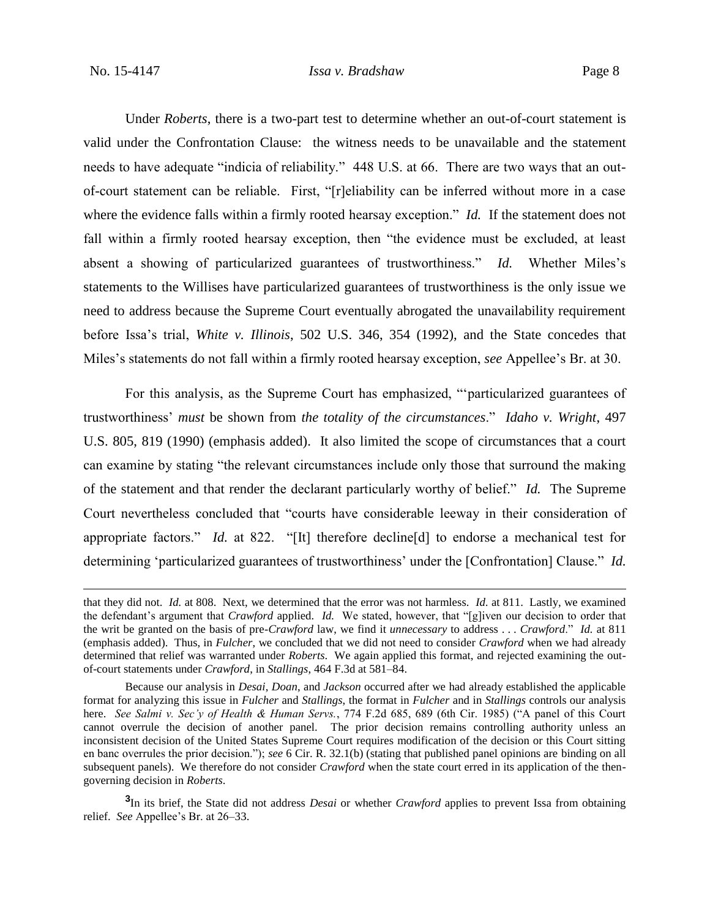$\overline{a}$ 

Under *Roberts*, there is a two-part test to determine whether an out-of-court statement is valid under the Confrontation Clause: the witness needs to be unavailable and the statement needs to have adequate "indicia of reliability." 448 U.S. at 66. There are two ways that an outof-court statement can be reliable. First, "[r]eliability can be inferred without more in a case where the evidence falls within a firmly rooted hearsay exception." *Id.* If the statement does not fall within a firmly rooted hearsay exception, then "the evidence must be excluded, at least absent a showing of particularized guarantees of trustworthiness." *Id.* Whether Miles's statements to the Willises have particularized guarantees of trustworthiness is the only issue we need to address because the Supreme Court eventually abrogated the unavailability requirement before Issa's trial, *White v. Illinois*, 502 U.S. 346, 354 (1992), and the State concedes that Miles's statements do not fall within a firmly rooted hearsay exception, *see* Appellee's Br. at 30.

For this analysis, as the Supreme Court has emphasized, "'particularized guarantees of trustworthiness' *must* be shown from *the totality of the circumstances*." *Idaho v. Wright*, 497 U.S. 805, 819 (1990) (emphasis added). It also limited the scope of circumstances that a court can examine by stating "the relevant circumstances include only those that surround the making of the statement and that render the declarant particularly worthy of belief." *Id.* The Supreme Court nevertheless concluded that "courts have considerable leeway in their consideration of appropriate factors." *Id.* at 822. "[It] therefore decline[d] to endorse a mechanical test for determining 'particularized guarantees of trustworthiness' under the [Confrontation] Clause." *Id.*

**3** In its brief, the State did not address *Desai* or whether *Crawford* applies to prevent Issa from obtaining relief. *See* Appellee's Br. at 26–33.

that they did not. *Id.* at 808. Next, we determined that the error was not harmless. *Id.* at 811. Lastly, we examined the defendant's argument that *Crawford* applied. *Id.* We stated, however, that "[g]iven our decision to order that the writ be granted on the basis of pre-*Crawford* law, we find it *unnecessary* to address . . . *Crawford*." *Id.* at 811 (emphasis added). Thus, in *Fulcher*, we concluded that we did not need to consider *Crawford* when we had already determined that relief was warranted under *Roberts*. We again applied this format, and rejected examining the outof-court statements under *Crawford*, in *Stallings*, 464 F.3d at 581–84.

Because our analysis in *Desai*, *Doan*, and *Jackson* occurred after we had already established the applicable format for analyzing this issue in *Fulcher* and *Stallings*, the format in *Fulcher* and in *Stallings* controls our analysis here. *See Salmi v. Sec'y of Health & Human Servs.*, 774 F.2d 685, 689 (6th Cir. 1985) ("A panel of this Court cannot overrule the decision of another panel. The prior decision remains controlling authority unless an inconsistent decision of the United States Supreme Court requires modification of the decision or this Court sitting en banc overrules the prior decision."); *see* 6 Cir. R. 32.1(b) (stating that published panel opinions are binding on all subsequent panels). We therefore do not consider *Crawford* when the state court erred in its application of the thengoverning decision in *Roberts*.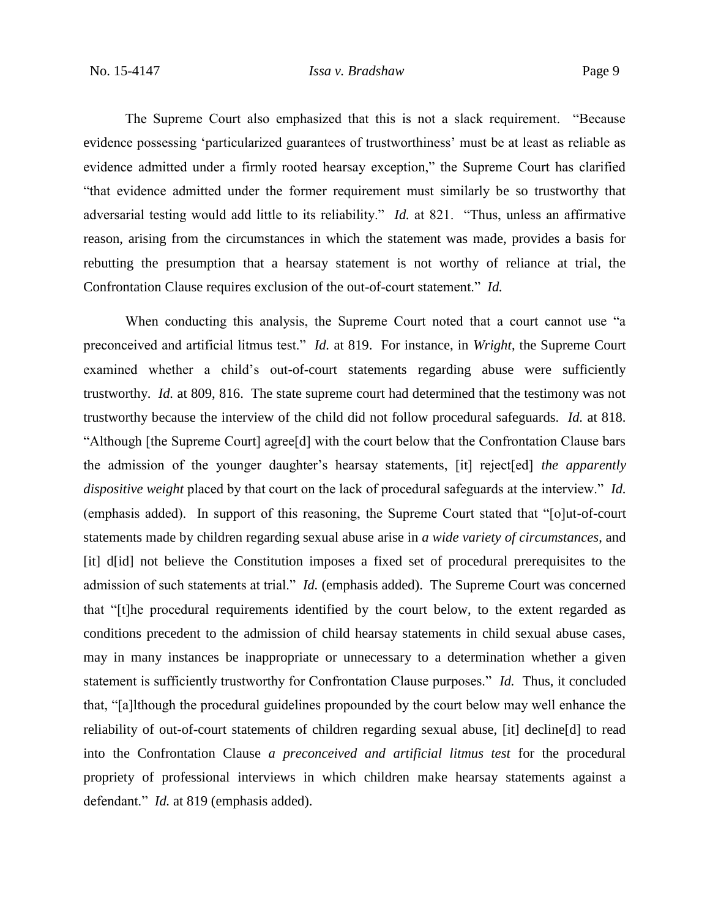The Supreme Court also emphasized that this is not a slack requirement. "Because evidence possessing 'particularized guarantees of trustworthiness' must be at least as reliable as evidence admitted under a firmly rooted hearsay exception," the Supreme Court has clarified "that evidence admitted under the former requirement must similarly be so trustworthy that adversarial testing would add little to its reliability." *Id.* at 821. "Thus, unless an affirmative reason, arising from the circumstances in which the statement was made, provides a basis for rebutting the presumption that a hearsay statement is not worthy of reliance at trial, the Confrontation Clause requires exclusion of the out-of-court statement." *Id.*

When conducting this analysis, the Supreme Court noted that a court cannot use "a preconceived and artificial litmus test." *Id.* at 819. For instance, in *Wright*, the Supreme Court examined whether a child's out-of-court statements regarding abuse were sufficiently trustworthy. *Id.* at 809, 816. The state supreme court had determined that the testimony was not trustworthy because the interview of the child did not follow procedural safeguards. *Id.* at 818. "Although [the Supreme Court] agree[d] with the court below that the Confrontation Clause bars the admission of the younger daughter's hearsay statements, [it] reject[ed] *the apparently dispositive weight* placed by that court on the lack of procedural safeguards at the interview." *Id.* (emphasis added). In support of this reasoning, the Supreme Court stated that "[o]ut-of-court statements made by children regarding sexual abuse arise in *a wide variety of circumstances*, and [it] d[id] not believe the Constitution imposes a fixed set of procedural prerequisites to the admission of such statements at trial." *Id.* (emphasis added). The Supreme Court was concerned that "[t]he procedural requirements identified by the court below, to the extent regarded as conditions precedent to the admission of child hearsay statements in child sexual abuse cases, may in many instances be inappropriate or unnecessary to a determination whether a given statement is sufficiently trustworthy for Confrontation Clause purposes." *Id.* Thus, it concluded that, "[a]lthough the procedural guidelines propounded by the court below may well enhance the reliability of out-of-court statements of children regarding sexual abuse, [it] decline[d] to read into the Confrontation Clause *a preconceived and artificial litmus test* for the procedural propriety of professional interviews in which children make hearsay statements against a defendant." *Id.* at 819 (emphasis added).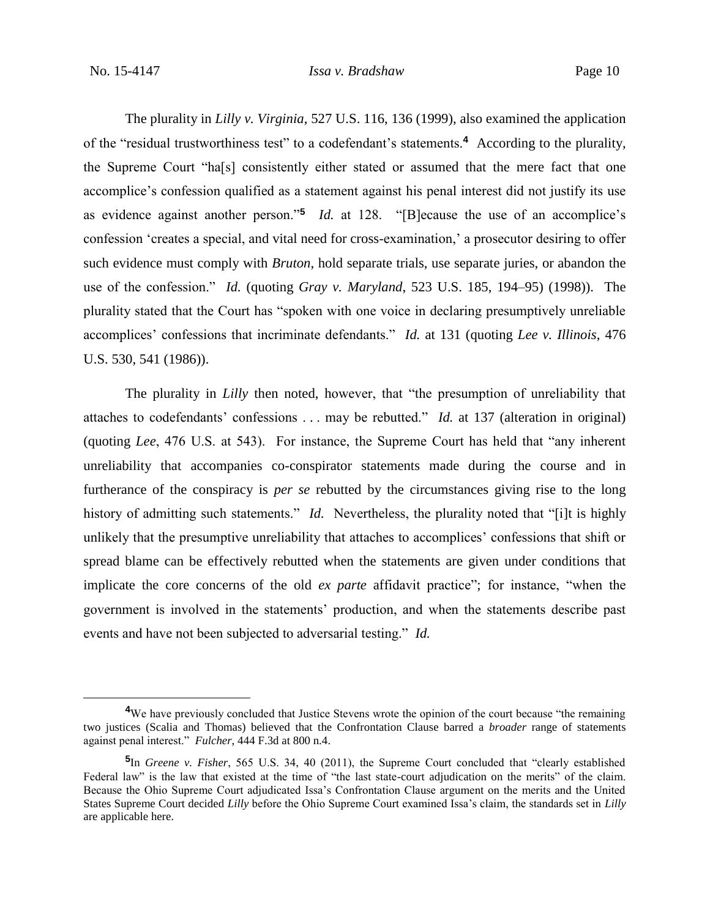$\overline{a}$ 

The plurality in *Lilly v. Virginia*, 527 U.S. 116, 136 (1999), also examined the application of the "residual trustworthiness test" to a codefendant's statements.**<sup>4</sup>** According to the plurality, the Supreme Court "ha[s] consistently either stated or assumed that the mere fact that one accomplice's confession qualified as a statement against his penal interest did not justify its use as evidence against another person."**<sup>5</sup>** *Id.* at 128. "[B]ecause the use of an accomplice's confession 'creates a special, and vital need for cross-examination,' a prosecutor desiring to offer such evidence must comply with *Bruton*, hold separate trials, use separate juries, or abandon the use of the confession." *Id.* (quoting *Gray v. Maryland*, 523 U.S. 185, 194–95) (1998)). The plurality stated that the Court has "spoken with one voice in declaring presumptively unreliable accomplices' confessions that incriminate defendants." *Id.* at 131 (quoting *Lee v. Illinois*, 476 U.S. 530, 541 (1986)).

The plurality in *Lilly* then noted, however, that "the presumption of unreliability that attaches to codefendants' confessions . . . may be rebutted." *Id.* at 137 (alteration in original) (quoting *Lee*, 476 U.S. at 543). For instance, the Supreme Court has held that "any inherent unreliability that accompanies co-conspirator statements made during the course and in furtherance of the conspiracy is *per se* rebutted by the circumstances giving rise to the long history of admitting such statements." *Id.* Nevertheless, the plurality noted that "[i]t is highly unlikely that the presumptive unreliability that attaches to accomplices' confessions that shift or spread blame can be effectively rebutted when the statements are given under conditions that implicate the core concerns of the old *ex parte* affidavit practice"; for instance, "when the government is involved in the statements' production, and when the statements describe past events and have not been subjected to adversarial testing." *Id.*

**<sup>4</sup>**We have previously concluded that Justice Stevens wrote the opinion of the court because "the remaining two justices (Scalia and Thomas) believed that the Confrontation Clause barred a *broader* range of statements against penal interest." *Fulcher*, 444 F.3d at 800 n.4.

**<sup>5</sup>** In *Greene v. Fisher*, 565 U.S. 34, 40 (2011), the Supreme Court concluded that "clearly established Federal law" is the law that existed at the time of "the last state-court adjudication on the merits" of the claim. Because the Ohio Supreme Court adjudicated Issa's Confrontation Clause argument on the merits and the United States Supreme Court decided *Lilly* before the Ohio Supreme Court examined Issa's claim, the standards set in *Lilly*  are applicable here.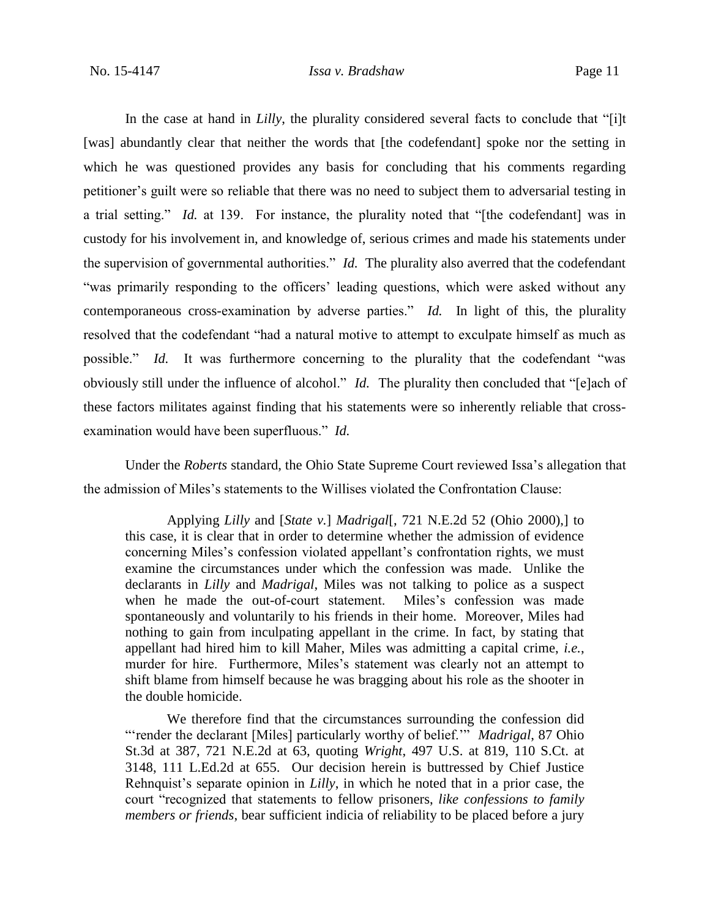In the case at hand in *Lilly*, the plurality considered several facts to conclude that "[i]t [was] abundantly clear that neither the words that [the codefendant] spoke nor the setting in which he was questioned provides any basis for concluding that his comments regarding petitioner's guilt were so reliable that there was no need to subject them to adversarial testing in a trial setting." *Id.* at 139. For instance, the plurality noted that "[the codefendant] was in custody for his involvement in, and knowledge of, serious crimes and made his statements under the supervision of governmental authorities." *Id.* The plurality also averred that the codefendant "was primarily responding to the officers' leading questions, which were asked without any contemporaneous cross-examination by adverse parties." *Id.* In light of this, the plurality resolved that the codefendant "had a natural motive to attempt to exculpate himself as much as possible." *Id.* It was furthermore concerning to the plurality that the codefendant "was obviously still under the influence of alcohol." *Id.* The plurality then concluded that "[e]ach of these factors militates against finding that his statements were so inherently reliable that crossexamination would have been superfluous." *Id.*

Under the *Roberts* standard, the Ohio State Supreme Court reviewed Issa's allegation that the admission of Miles's statements to the Willises violated the Confrontation Clause:

Applying *Lilly* and [*State v.*] *Madrigal*[, 721 N.E.2d 52 (Ohio 2000),] to this case, it is clear that in order to determine whether the admission of evidence concerning Miles's confession violated appellant's confrontation rights, we must examine the circumstances under which the confession was made. Unlike the declarants in *Lilly* and *Madrigal*, Miles was not talking to police as a suspect when he made the out-of-court statement. Miles's confession was made spontaneously and voluntarily to his friends in their home. Moreover, Miles had nothing to gain from inculpating appellant in the crime. In fact, by stating that appellant had hired him to kill Maher, Miles was admitting a capital crime, *i.e.*, murder for hire. Furthermore, Miles's statement was clearly not an attempt to shift blame from himself because he was bragging about his role as the shooter in the double homicide.

We therefore find that the circumstances surrounding the confession did "'render the declarant [Miles] particularly worthy of belief.'" *Madrigal*, 87 Ohio St.3d at 387, 721 N.E.2d at 63, quoting *Wright*, 497 U.S. at 819, 110 S.Ct. at 3148, 111 L.Ed.2d at 655. Our decision herein is buttressed by Chief Justice Rehnquist's separate opinion in *Lilly*, in which he noted that in a prior case, the court "recognized that statements to fellow prisoners, *like confessions to family members or friends*, bear sufficient indicia of reliability to be placed before a jury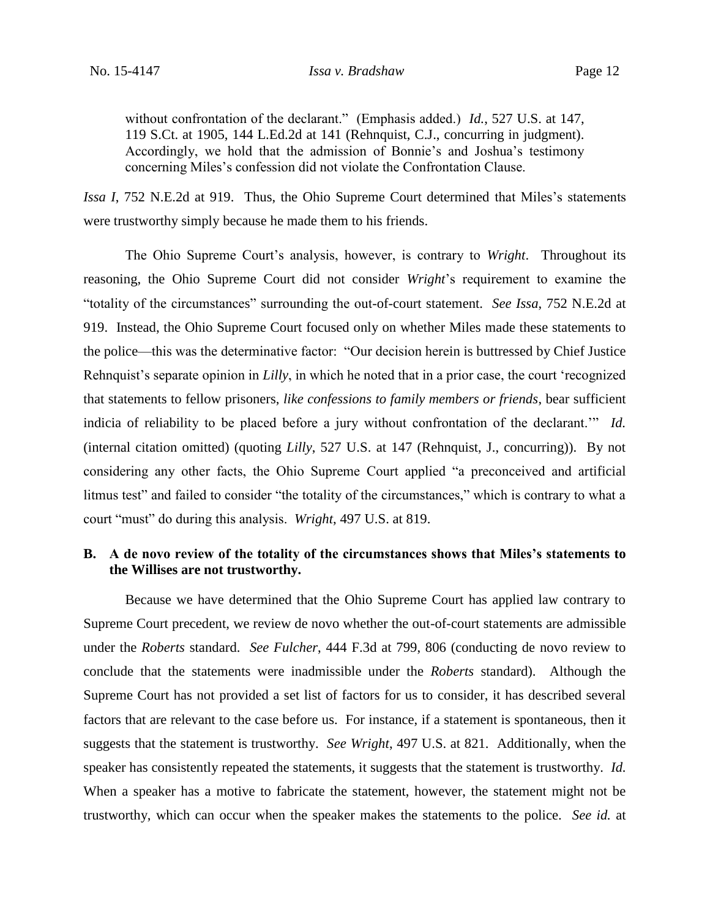without confrontation of the declarant." (Emphasis added.) *Id.*, 527 U.S. at 147, 119 S.Ct. at 1905, 144 L.Ed.2d at 141 (Rehnquist, C.J., concurring in judgment). Accordingly, we hold that the admission of Bonnie's and Joshua's testimony concerning Miles's confession did not violate the Confrontation Clause.

*Issa I*, 752 N.E.2d at 919. Thus, the Ohio Supreme Court determined that Miles's statements were trustworthy simply because he made them to his friends.

The Ohio Supreme Court's analysis, however, is contrary to *Wright*. Throughout its reasoning, the Ohio Supreme Court did not consider *Wright*'s requirement to examine the "totality of the circumstances" surrounding the out-of-court statement. *See Issa*, 752 N.E.2d at 919. Instead, the Ohio Supreme Court focused only on whether Miles made these statements to the police—this was the determinative factor: "Our decision herein is buttressed by Chief Justice Rehnquist's separate opinion in *Lilly*, in which he noted that in a prior case, the court 'recognized that statements to fellow prisoners, *like confessions to family members or friends*, bear sufficient indicia of reliability to be placed before a jury without confrontation of the declarant.'" *Id.* (internal citation omitted) (quoting *Lilly*, 527 U.S. at 147 (Rehnquist, J., concurring)). By not considering any other facts, the Ohio Supreme Court applied "a preconceived and artificial litmus test" and failed to consider "the totality of the circumstances," which is contrary to what a court "must" do during this analysis. *Wright*, 497 U.S. at 819.

## **B. A de novo review of the totality of the circumstances shows that Miles's statements to the Willises are not trustworthy.**

Because we have determined that the Ohio Supreme Court has applied law contrary to Supreme Court precedent, we review de novo whether the out-of-court statements are admissible under the *Roberts* standard. *See Fulcher*, 444 F.3d at 799, 806 (conducting de novo review to conclude that the statements were inadmissible under the *Roberts* standard). Although the Supreme Court has not provided a set list of factors for us to consider, it has described several factors that are relevant to the case before us. For instance, if a statement is spontaneous, then it suggests that the statement is trustworthy. *See Wright*, 497 U.S. at 821. Additionally, when the speaker has consistently repeated the statements, it suggests that the statement is trustworthy. *Id.* When a speaker has a motive to fabricate the statement, however, the statement might not be trustworthy, which can occur when the speaker makes the statements to the police. *See id.* at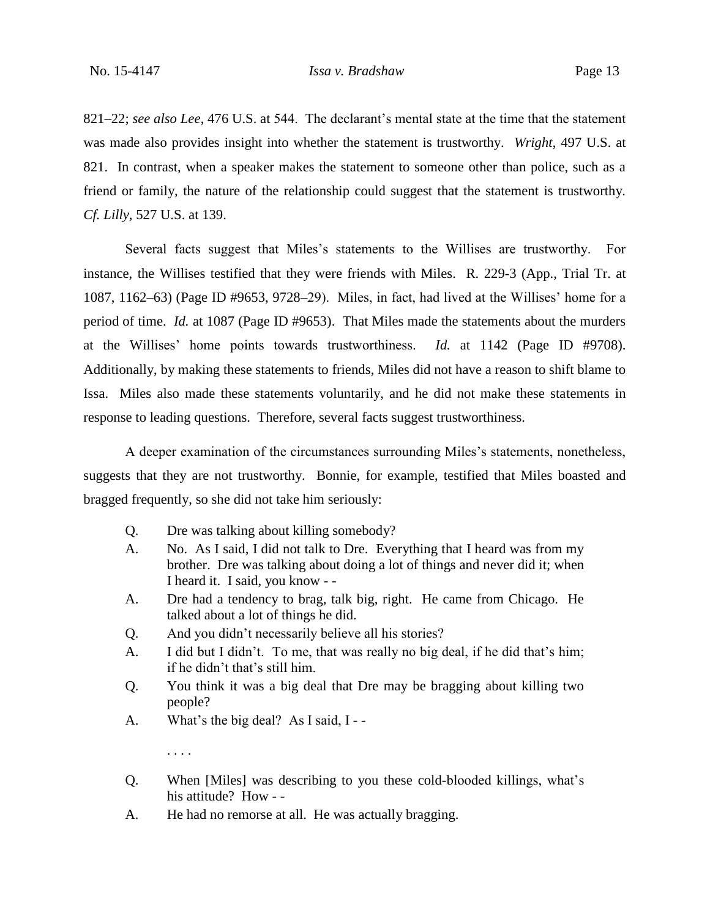821–22; *see also Lee*, 476 U.S. at 544. The declarant's mental state at the time that the statement was made also provides insight into whether the statement is trustworthy. *Wright*, 497 U.S. at 821. In contrast, when a speaker makes the statement to someone other than police, such as a friend or family, the nature of the relationship could suggest that the statement is trustworthy. *Cf. Lilly*, 527 U.S. at 139.

Several facts suggest that Miles's statements to the Willises are trustworthy. For instance, the Willises testified that they were friends with Miles. R. 229-3 (App., Trial Tr. at 1087, 1162–63) (Page ID #9653, 9728–29). Miles, in fact, had lived at the Willises' home for a period of time. *Id.* at 1087 (Page ID #9653). That Miles made the statements about the murders at the Willises' home points towards trustworthiness. *Id.* at 1142 (Page ID #9708). Additionally, by making these statements to friends, Miles did not have a reason to shift blame to Issa. Miles also made these statements voluntarily, and he did not make these statements in response to leading questions. Therefore, several facts suggest trustworthiness.

A deeper examination of the circumstances surrounding Miles's statements, nonetheless, suggests that they are not trustworthy. Bonnie, for example, testified that Miles boasted and bragged frequently, so she did not take him seriously:

- Q. Dre was talking about killing somebody?
- A. No. As I said, I did not talk to Dre. Everything that I heard was from my brother. Dre was talking about doing a lot of things and never did it; when I heard it. I said, you know - -
- A. Dre had a tendency to brag, talk big, right. He came from Chicago. He talked about a lot of things he did.
- Q. And you didn't necessarily believe all his stories?
- A. I did but I didn't. To me, that was really no big deal, if he did that's him; if he didn't that's still him.
- Q. You think it was a big deal that Dre may be bragging about killing two people?
- A. What's the big deal? As I said, I -

. . . .

- Q. When [Miles] was describing to you these cold-blooded killings, what's his attitude? How - -
- A. He had no remorse at all. He was actually bragging.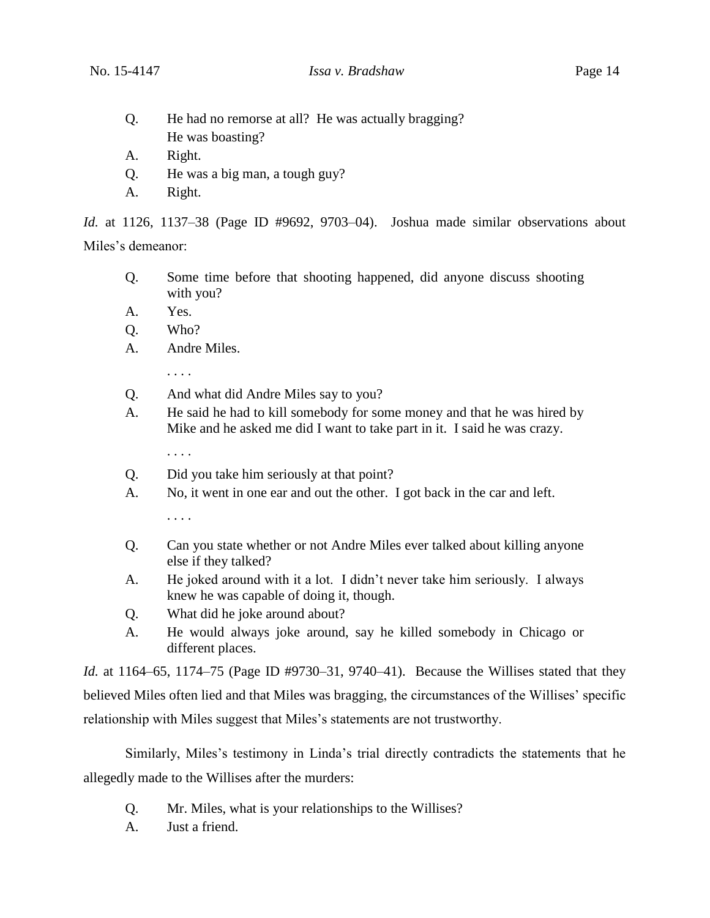- Q. He had no remorse at all? He was actually bragging? He was boasting?
- A. Right.
- Q. He was a big man, a tough guy?
- A. Right.

*Id.* at 1126, 1137–38 (Page ID #9692, 9703–04). Joshua made similar observations about Miles's demeanor:

- Q. Some time before that shooting happened, did anyone discuss shooting with you?
- A. Yes.
- Q. Who?
- A. Andre Miles.

. . . .

- Q. And what did Andre Miles say to you?
- A. He said he had to kill somebody for some money and that he was hired by Mike and he asked me did I want to take part in it. I said he was crazy.
	- . . . .
- Q. Did you take him seriously at that point?
- A. No, it went in one ear and out the other. I got back in the car and left.

. . . .

- Q. Can you state whether or not Andre Miles ever talked about killing anyone else if they talked?
- A. He joked around with it a lot. I didn't never take him seriously. I always knew he was capable of doing it, though.
- Q. What did he joke around about?
- A. He would always joke around, say he killed somebody in Chicago or different places.

*Id.* at 1164–65, 1174–75 (Page ID #9730–31, 9740–41). Because the Willises stated that they believed Miles often lied and that Miles was bragging, the circumstances of the Willises' specific relationship with Miles suggest that Miles's statements are not trustworthy.

Similarly, Miles's testimony in Linda's trial directly contradicts the statements that he allegedly made to the Willises after the murders:

- Q. Mr. Miles, what is your relationships to the Willises?
- A. Just a friend.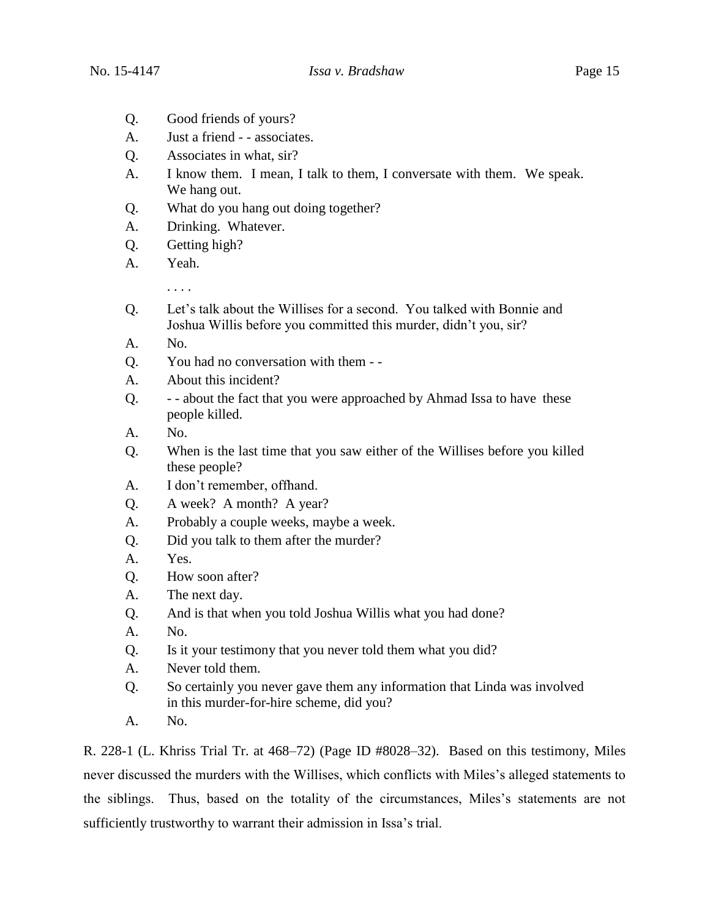- Q. Good friends of yours?
- A. Just a friend - associates.
- Q. Associates in what, sir?
- A. I know them. I mean, I talk to them, I conversate with them. We speak. We hang out.
- Q. What do you hang out doing together?
- A. Drinking. Whatever.
- Q. Getting high?
- A. Yeah.

. . . .

- Q. Let's talk about the Willises for a second. You talked with Bonnie and Joshua Willis before you committed this murder, didn't you, sir?
- A. No.
- Q. You had no conversation with them -
- A. About this incident?
- Q. - about the fact that you were approached by Ahmad Issa to have these people killed.
- A. No.
- Q. When is the last time that you saw either of the Willises before you killed these people?
- A. I don't remember, offhand.
- Q. A week? A month? A year?
- A. Probably a couple weeks, maybe a week.
- Q. Did you talk to them after the murder?
- A. Yes.
- Q. How soon after?
- A. The next day.
- Q. And is that when you told Joshua Willis what you had done?
- A. No.
- Q. Is it your testimony that you never told them what you did?
- A. Never told them.
- Q. So certainly you never gave them any information that Linda was involved in this murder-for-hire scheme, did you?
- A. No.

R. 228-1 (L. Khriss Trial Tr. at 468–72) (Page ID #8028–32). Based on this testimony, Miles never discussed the murders with the Willises, which conflicts with Miles's alleged statements to the siblings. Thus, based on the totality of the circumstances, Miles's statements are not sufficiently trustworthy to warrant their admission in Issa's trial.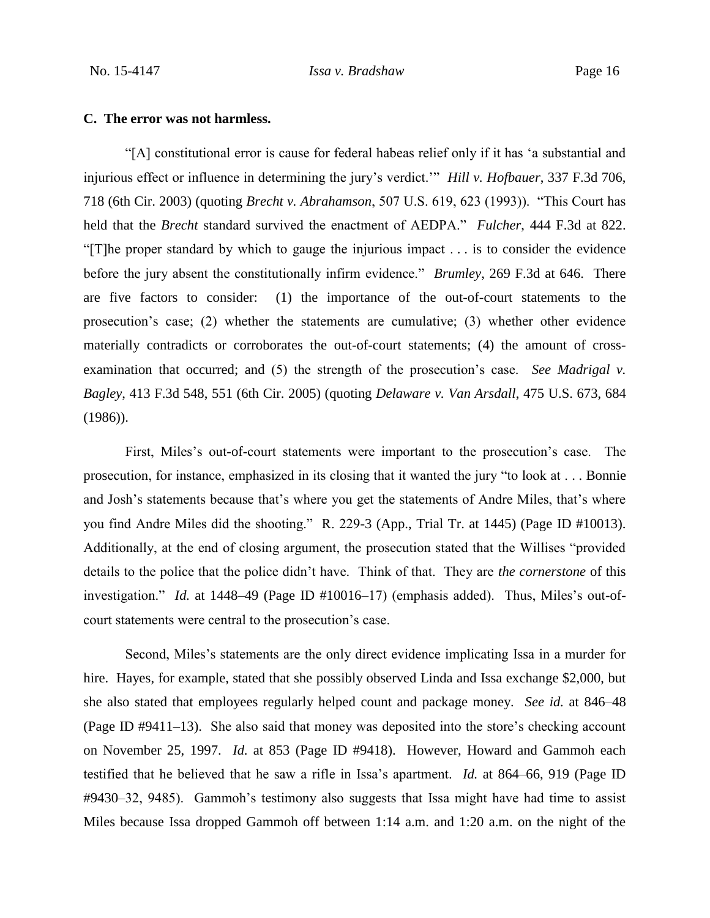#### **C. The error was not harmless.**

"[A] constitutional error is cause for federal habeas relief only if it has 'a substantial and injurious effect or influence in determining the jury's verdict.'" *Hill v. Hofbauer*, 337 F.3d 706, 718 (6th Cir. 2003) (quoting *Brecht v. Abrahamson*, 507 U.S. 619, 623 (1993)). "This Court has held that the *Brecht* standard survived the enactment of AEDPA." *Fulcher*, 444 F.3d at 822. "[T]he proper standard by which to gauge the injurious impact . . . is to consider the evidence before the jury absent the constitutionally infirm evidence." *Brumley*, 269 F.3d at 646. There are five factors to consider: (1) the importance of the out-of-court statements to the prosecution's case; (2) whether the statements are cumulative; (3) whether other evidence materially contradicts or corroborates the out-of-court statements; (4) the amount of crossexamination that occurred; and (5) the strength of the prosecution's case. *See Madrigal v. Bagley*, 413 F.3d 548, 551 (6th Cir. 2005) (quoting *Delaware v. Van Arsdall*, 475 U.S. 673, 684 (1986)).

First, Miles's out-of-court statements were important to the prosecution's case. The prosecution, for instance, emphasized in its closing that it wanted the jury "to look at . . . Bonnie and Josh's statements because that's where you get the statements of Andre Miles, that's where you find Andre Miles did the shooting." R. 229-3 (App., Trial Tr. at 1445) (Page ID #10013). Additionally, at the end of closing argument, the prosecution stated that the Willises "provided details to the police that the police didn't have. Think of that. They are *the cornerstone* of this investigation." *Id.* at 1448–49 (Page ID #10016–17) (emphasis added). Thus, Miles's out-ofcourt statements were central to the prosecution's case.

Second, Miles's statements are the only direct evidence implicating Issa in a murder for hire. Hayes, for example, stated that she possibly observed Linda and Issa exchange \$2,000, but she also stated that employees regularly helped count and package money. *See id.* at 846–48 (Page ID #9411–13). She also said that money was deposited into the store's checking account on November 25, 1997. *Id.* at 853 (Page ID #9418). However, Howard and Gammoh each testified that he believed that he saw a rifle in Issa's apartment. *Id.* at 864–66, 919 (Page ID #9430–32, 9485). Gammoh's testimony also suggests that Issa might have had time to assist Miles because Issa dropped Gammoh off between 1:14 a.m. and 1:20 a.m. on the night of the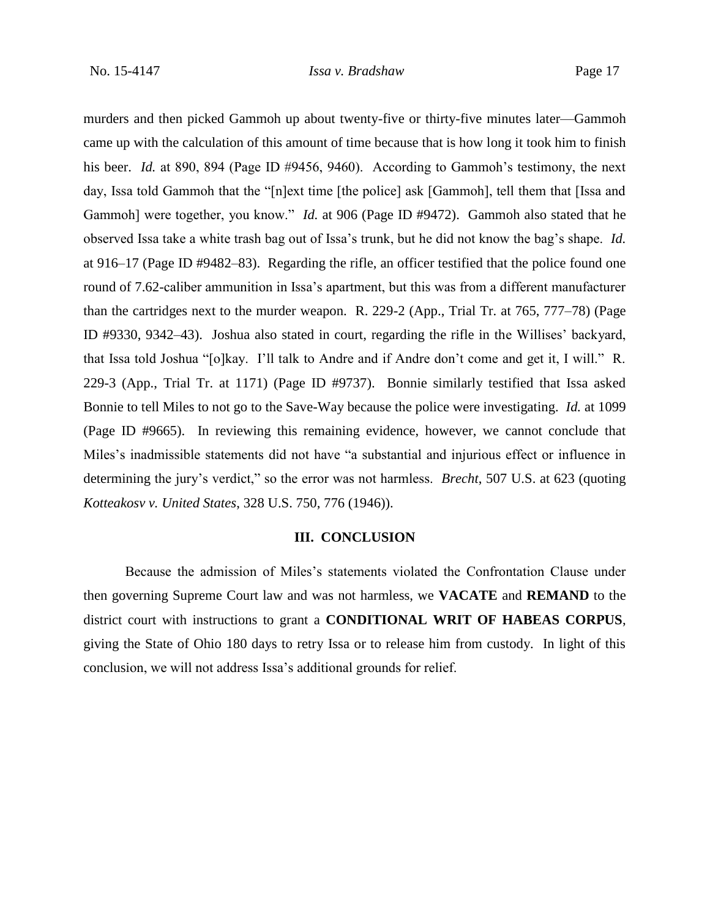murders and then picked Gammoh up about twenty-five or thirty-five minutes later—Gammoh came up with the calculation of this amount of time because that is how long it took him to finish his beer. *Id.* at 890, 894 (Page ID #9456, 9460). According to Gammoh's testimony, the next day, Issa told Gammoh that the "[n]ext time [the police] ask [Gammoh], tell them that [Issa and Gammoh] were together, you know." *Id.* at 906 (Page ID #9472). Gammoh also stated that he observed Issa take a white trash bag out of Issa's trunk, but he did not know the bag's shape. *Id.* at 916–17 (Page ID #9482–83). Regarding the rifle, an officer testified that the police found one round of 7.62-caliber ammunition in Issa's apartment, but this was from a different manufacturer than the cartridges next to the murder weapon. R. 229-2 (App., Trial Tr. at 765, 777–78) (Page ID #9330, 9342–43). Joshua also stated in court, regarding the rifle in the Willises' backyard, that Issa told Joshua "[o]kay. I'll talk to Andre and if Andre don't come and get it, I will." R. 229-3 (App., Trial Tr. at 1171) (Page ID #9737). Bonnie similarly testified that Issa asked Bonnie to tell Miles to not go to the Save-Way because the police were investigating. *Id.* at 1099 (Page ID #9665). In reviewing this remaining evidence, however, we cannot conclude that Miles's inadmissible statements did not have "a substantial and injurious effect or influence in determining the jury's verdict," so the error was not harmless. *Brecht*, 507 U.S. at 623 (quoting *Kotteakosv v. United States*, 328 U.S. 750, 776 (1946)).

### **III. CONCLUSION**

Because the admission of Miles's statements violated the Confrontation Clause under then governing Supreme Court law and was not harmless, we **VACATE** and **REMAND** to the district court with instructions to grant a **CONDITIONAL WRIT OF HABEAS CORPUS**, giving the State of Ohio 180 days to retry Issa or to release him from custody. In light of this conclusion, we will not address Issa's additional grounds for relief.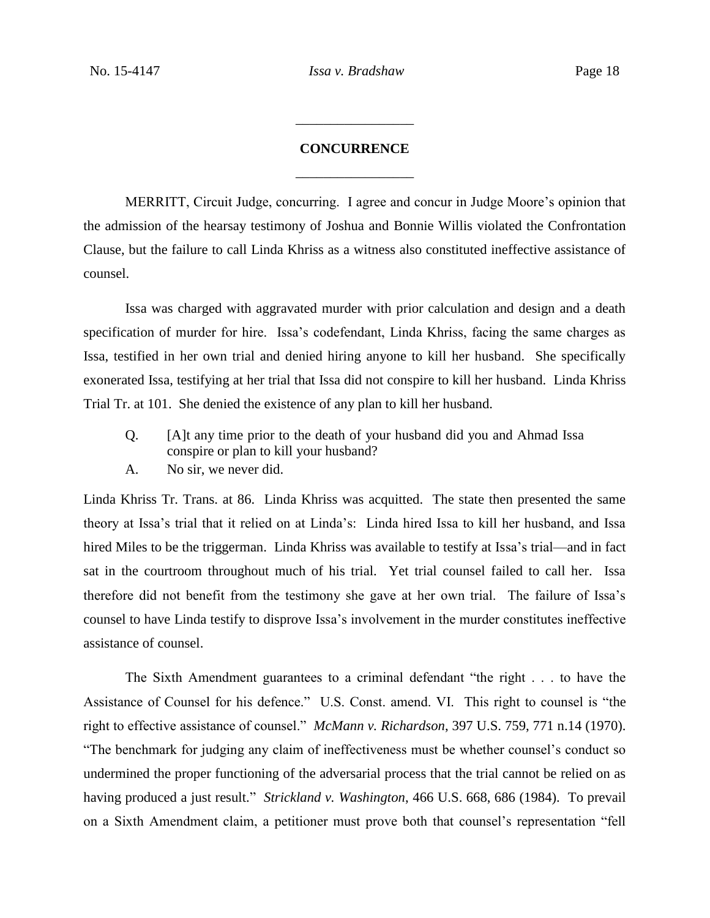# **CONCURRENCE** \_\_\_\_\_\_\_\_\_\_\_\_\_\_\_\_\_

\_\_\_\_\_\_\_\_\_\_\_\_\_\_\_\_\_

MERRITT, Circuit Judge, concurring. I agree and concur in Judge Moore's opinion that the admission of the hearsay testimony of Joshua and Bonnie Willis violated the Confrontation Clause, but the failure to call Linda Khriss as a witness also constituted ineffective assistance of counsel.

Issa was charged with aggravated murder with prior calculation and design and a death specification of murder for hire. Issa's codefendant, Linda Khriss, facing the same charges as Issa, testified in her own trial and denied hiring anyone to kill her husband. She specifically exonerated Issa, testifying at her trial that Issa did not conspire to kill her husband. Linda Khriss Trial Tr. at 101. She denied the existence of any plan to kill her husband.

- Q. [A]t any time prior to the death of your husband did you and Ahmad Issa conspire or plan to kill your husband?
- A. No sir, we never did.

Linda Khriss Tr. Trans. at 86. Linda Khriss was acquitted. The state then presented the same theory at Issa's trial that it relied on at Linda's: Linda hired Issa to kill her husband, and Issa hired Miles to be the triggerman. Linda Khriss was available to testify at Issa's trial—and in fact sat in the courtroom throughout much of his trial. Yet trial counsel failed to call her. Issa therefore did not benefit from the testimony she gave at her own trial. The failure of Issa's counsel to have Linda testify to disprove Issa's involvement in the murder constitutes ineffective assistance of counsel.

The Sixth Amendment guarantees to a criminal defendant "the right . . . to have the Assistance of Counsel for his defence." U.S. Const. amend. VI. This right to counsel is "the right to effective assistance of counsel." *McMann v. Richardson*, 397 U.S. 759, 771 n.14 (1970). "The benchmark for judging any claim of ineffectiveness must be whether counsel's conduct so undermined the proper functioning of the adversarial process that the trial cannot be relied on as having produced a just result." *Strickland v. Washington*, 466 U.S. 668, 686 (1984). To prevail on a Sixth Amendment claim, a petitioner must prove both that counsel's representation "fell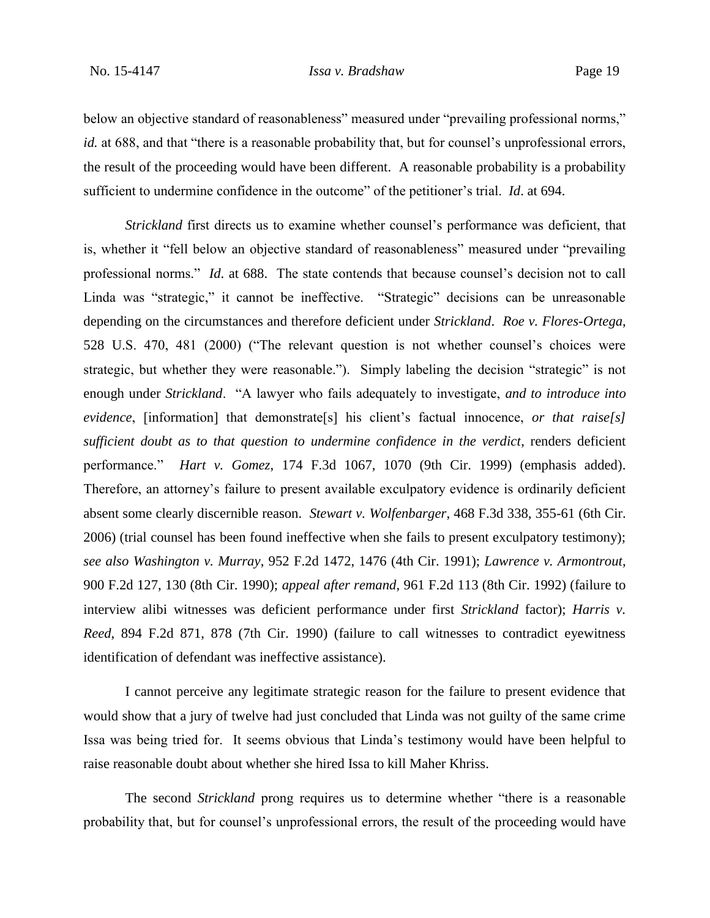#### No. 15-4147 *Issa v. Bradshaw* Page 19

below an objective standard of reasonableness" measured under "prevailing professional norms," *id.* at 688, and that "there is a reasonable probability that, but for counsel's unprofessional errors, the result of the proceeding would have been different. A reasonable probability is a probability sufficient to undermine confidence in the outcome" of the petitioner's trial. *Id*. at 694.

*Strickland* first directs us to examine whether counsel's performance was deficient, that is, whether it "fell below an objective standard of reasonableness" measured under "prevailing professional norms." *Id*. at 688. The state contends that because counsel's decision not to call Linda was "strategic," it cannot be ineffective. "Strategic" decisions can be unreasonable depending on the circumstances and therefore deficient under *Strickland*. *Roe v. Flores-Ortega*, 528 U.S. 470, 481 (2000) ("The relevant question is not whether counsel's choices were strategic, but whether they were reasonable."). Simply labeling the decision "strategic" is not enough under *Strickland*. "A lawyer who fails adequately to investigate, *and to introduce into evidence*, [information] that demonstrate[s] his client's factual innocence, *or that raise[s] sufficient doubt as to that question to undermine confidence in the verdict*, renders deficient performance." *Hart v. Gomez*, 174 F.3d 1067, 1070 (9th Cir. 1999) (emphasis added). Therefore, an attorney's failure to present available exculpatory evidence is ordinarily deficient absent some clearly discernible reason. *Stewart v. Wolfenbarger*, 468 F.3d 338, 355-61 (6th Cir. 2006) (trial counsel has been found ineffective when she fails to present exculpatory testimony); *see also Washington v. Murray*, 952 F.2d 1472, 1476 (4th Cir. 1991); *Lawrence v. Armontrout*, 900 F.2d 127, 130 (8th Cir. 1990); *appeal after remand*, 961 F.2d 113 (8th Cir. 1992) (failure to interview alibi witnesses was deficient performance under first *Strickland* factor); *Harris v. Reed*, 894 F.2d 871, 878 (7th Cir. 1990) (failure to call witnesses to contradict eyewitness identification of defendant was ineffective assistance).

I cannot perceive any legitimate strategic reason for the failure to present evidence that would show that a jury of twelve had just concluded that Linda was not guilty of the same crime Issa was being tried for. It seems obvious that Linda's testimony would have been helpful to raise reasonable doubt about whether she hired Issa to kill Maher Khriss.

The second *Strickland* prong requires us to determine whether "there is a reasonable probability that, but for counsel's unprofessional errors, the result of the proceeding would have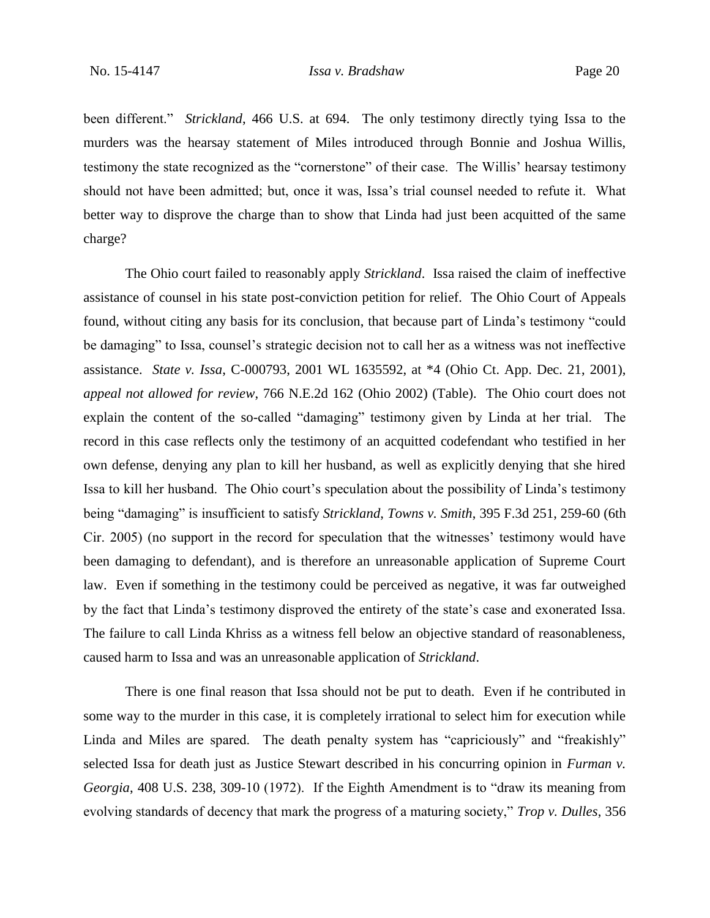been different." *Strickland*, 466 U.S. at 694. The only testimony directly tying Issa to the murders was the hearsay statement of Miles introduced through Bonnie and Joshua Willis, testimony the state recognized as the "cornerstone" of their case. The Willis' hearsay testimony should not have been admitted; but, once it was, Issa's trial counsel needed to refute it. What better way to disprove the charge than to show that Linda had just been acquitted of the same charge?

The Ohio court failed to reasonably apply *Strickland*. Issa raised the claim of ineffective assistance of counsel in his state post-conviction petition for relief. The Ohio Court of Appeals found, without citing any basis for its conclusion, that because part of Linda's testimony "could be damaging" to Issa, counsel's strategic decision not to call her as a witness was not ineffective assistance. *State v. Issa*, C-000793, 2001 WL 1635592, at \*4 (Ohio Ct. App. Dec. 21, 2001), *appeal not allowed for review*, 766 N.E.2d 162 (Ohio 2002) (Table). The Ohio court does not explain the content of the so-called "damaging" testimony given by Linda at her trial. The record in this case reflects only the testimony of an acquitted codefendant who testified in her own defense, denying any plan to kill her husband, as well as explicitly denying that she hired Issa to kill her husband. The Ohio court's speculation about the possibility of Linda's testimony being "damaging" is insufficient to satisfy *Strickland*, *Towns v. Smith*, 395 F.3d 251, 259-60 (6th Cir. 2005) (no support in the record for speculation that the witnesses' testimony would have been damaging to defendant), and is therefore an unreasonable application of Supreme Court law. Even if something in the testimony could be perceived as negative, it was far outweighed by the fact that Linda's testimony disproved the entirety of the state's case and exonerated Issa. The failure to call Linda Khriss as a witness fell below an objective standard of reasonableness, caused harm to Issa and was an unreasonable application of *Strickland*.

There is one final reason that Issa should not be put to death. Even if he contributed in some way to the murder in this case, it is completely irrational to select him for execution while Linda and Miles are spared. The death penalty system has "capriciously" and "freakishly" selected Issa for death just as Justice Stewart described in his concurring opinion in *Furman v. Georgia*, 408 U.S. 238, 309-10 (1972). If the Eighth Amendment is to "draw its meaning from evolving standards of decency that mark the progress of a maturing society," *Trop v. Dulles*, 356